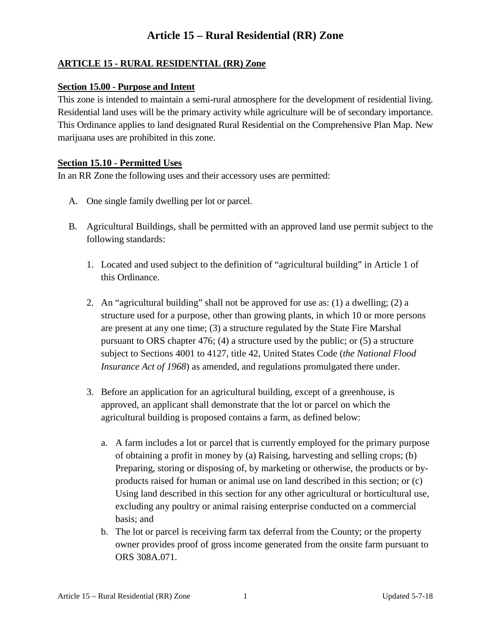### **ARTICLE 15 - RURAL RESIDENTIAL (RR) Zone**

#### **Section 15.00 - Purpose and Intent**

This zone is intended to maintain a semi**-**rural atmosphere for the development of residential living. Residential land uses will be the primary activity while agriculture will be of secondary importance. This Ordinance applies to land designated Rural Residential on the Comprehensive Plan Map. New marijuana uses are prohibited in this zone.

#### **Section 15.10 - Permitted Uses**

In an RR Zone the following uses and their accessory uses are permitted:

- A. One single family dwelling per lot or parcel.
- B. Agricultural Buildings, shall be permitted with an approved land use permit subject to the following standards:
	- 1. Located and used subject to the definition of "agricultural building" in Article 1 of this Ordinance.
	- 2. An "agricultural building" shall not be approved for use as: (1) a dwelling; (2) a structure used for a purpose, other than growing plants, in which 10 or more persons are present at any one time; (3) a structure regulated by the State Fire Marshal pursuant to ORS chapter 476; (4) a structure used by the public; or (5) a structure subject to Sections 4001 to 4127, title 42, United States Code (*the National Flood Insurance Act of 1968*) as amended, and regulations promulgated there under.
	- 3. Before an application for an agricultural building, except of a greenhouse, is approved, an applicant shall demonstrate that the lot or parcel on which the agricultural building is proposed contains a farm, as defined below:
		- a. A farm includes a lot or parcel that is currently employed for the primary purpose of obtaining a profit in money by (a) Raising, harvesting and selling crops; (b) Preparing, storing or disposing of, by marketing or otherwise, the products or byproducts raised for human or animal use on land described in this section; or (c) Using land described in this section for any other agricultural or horticultural use, excluding any poultry or animal raising enterprise conducted on a commercial basis; and
		- b. The lot or parcel is receiving farm tax deferral from the County; or the property owner provides proof of gross income generated from the onsite farm pursuant to ORS 308A.071.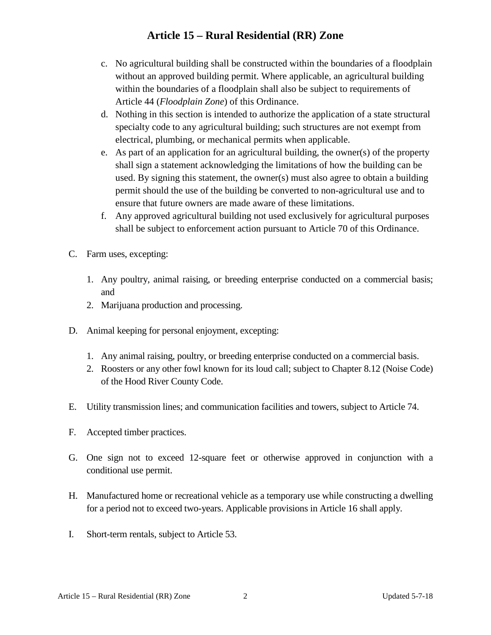- c. No agricultural building shall be constructed within the boundaries of a floodplain without an approved building permit. Where applicable, an agricultural building within the boundaries of a floodplain shall also be subject to requirements of Article 44 (*Floodplain Zone*) of this Ordinance.
- d. Nothing in this section is intended to authorize the application of a state structural specialty code to any agricultural building; such structures are not exempt from electrical, plumbing, or mechanical permits when applicable.
- e. As part of an application for an agricultural building, the owner(s) of the property shall sign a statement acknowledging the limitations of how the building can be used. By signing this statement, the owner(s) must also agree to obtain a building permit should the use of the building be converted to non-agricultural use and to ensure that future owners are made aware of these limitations.
- f. Any approved agricultural building not used exclusively for agricultural purposes shall be subject to enforcement action pursuant to Article 70 of this Ordinance.
- C. Farm uses, excepting:
	- 1. Any poultry, animal raising, or breeding enterprise conducted on a commercial basis; and
	- 2. Marijuana production and processing.
- D. Animal keeping for personal enjoyment, excepting:
	- 1. Any animal raising, poultry, or breeding enterprise conducted on a commercial basis.
	- 2. Roosters or any other fowl known for its loud call; subject to Chapter 8.12 (Noise Code) of the Hood River County Code.
- E. Utility transmission lines; and communication facilities and towers, subject to Article 74.
- F. Accepted timber practices.
- G. One sign not to exceed 12-square feet or otherwise approved in conjunction with a conditional use permit.
- H. Manufactured home or recreational vehicle as a temporary use while constructing a dwelling for a period not to exceed two-years. Applicable provisions in Article 16 shall apply.
- I. Short-term rentals, subject to Article 53.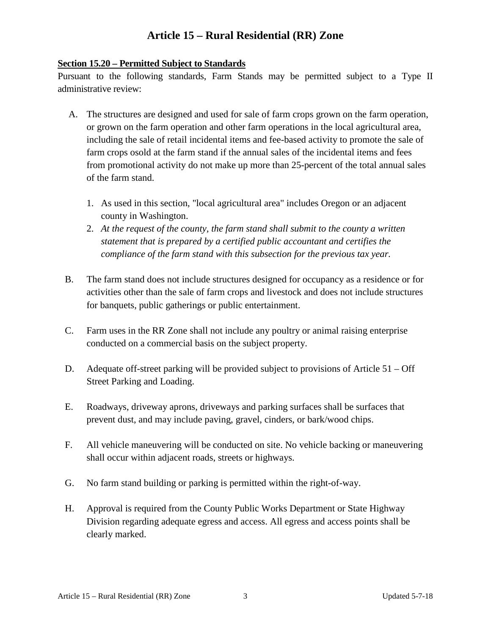#### **Section 15.20 – Permitted Subject to Standards**

Pursuant to the following standards, Farm Stands may be permitted subject to a Type II administrative review:

- A. The structures are designed and used for sale of farm crops grown on the farm operation, or grown on the farm operation and other farm operations in the local agricultural area, including the sale of retail incidental items and fee-based activity to promote the sale of farm crops osold at the farm stand if the annual sales of the incidental items and fees from promotional activity do not make up more than 25-percent of the total annual sales of the farm stand.
	- 1. As used in this section, "local agricultural area" includes Oregon or an adjacent county in Washington.
	- 2. *At the request of the county, the farm stand shall submit to the county a written statement that is prepared by a certified public accountant and certifies the compliance of the farm stand with this subsection for the previous tax year.*
- B. The farm stand does not include structures designed for occupancy as a residence or for activities other than the sale of farm crops and livestock and does not include structures for banquets, public gatherings or public entertainment.
- C. Farm uses in the RR Zone shall not include any poultry or animal raising enterprise conducted on a commercial basis on the subject property.
- D. Adequate off-street parking will be provided subject to provisions of Article 51 Off Street Parking and Loading.
- E. Roadways, driveway aprons, driveways and parking surfaces shall be surfaces that prevent dust, and may include paving, gravel, cinders, or bark/wood chips.
- F. All vehicle maneuvering will be conducted on site. No vehicle backing or maneuvering shall occur within adjacent roads, streets or highways.
- G. No farm stand building or parking is permitted within the right-of-way.
- H. Approval is required from the County Public Works Department or State Highway Division regarding adequate egress and access. All egress and access points shall be clearly marked.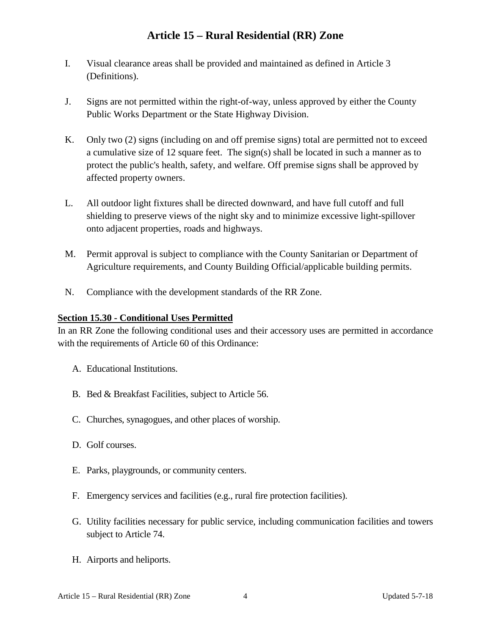- I. Visual clearance areas shall be provided and maintained as defined in Article 3 (Definitions).
- J. Signs are not permitted within the right-of-way, unless approved by either the County Public Works Department or the State Highway Division.
- K. Only two (2) signs (including on and off premise signs) total are permitted not to exceed a cumulative size of 12 square feet. The sign(s) shall be located in such a manner as to protect the public's health, safety, and welfare. Off premise signs shall be approved by affected property owners.
- L. All outdoor light fixtures shall be directed downward, and have full cutoff and full shielding to preserve views of the night sky and to minimize excessive light-spillover onto adjacent properties, roads and highways.
- M. Permit approval is subject to compliance with the County Sanitarian or Department of Agriculture requirements, and County Building Official/applicable building permits.
- N. Compliance with the development standards of the RR Zone.

### **Section 15.30 - Conditional Uses Permitted**

In an RR Zone the following conditional uses and their accessory uses are permitted in accordance with the requirements of Article 60 of this Ordinance:

- A. Educational Institutions.
- B. Bed & Breakfast Facilities, subject to Article 56.
- C. Churches, synagogues, and other places of worship.
- D. Golf courses.
- E. Parks, playgrounds, or community centers.
- F. Emergency services and facilities (e.g., rural fire protection facilities).
- G. Utility facilities necessary for public service, including communication facilities and towers subject to Article 74.
- H. Airports and heliports.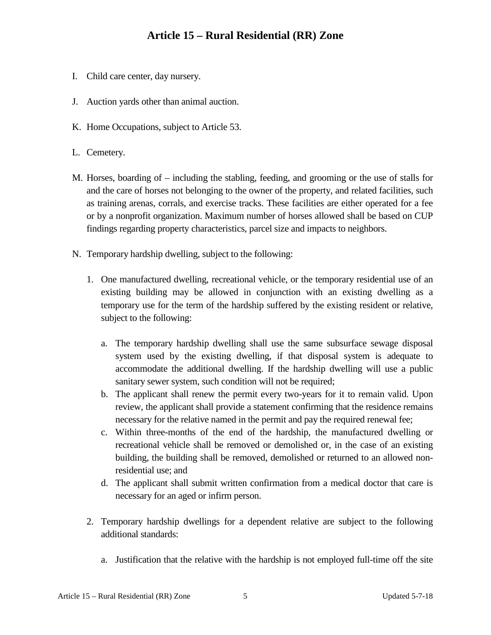- I. Child care center, day nursery.
- J. Auction yards other than animal auction.
- K. Home Occupations, subject to Article 53.
- L. Cemetery.
- M. Horses, boarding of including the stabling, feeding, and grooming or the use of stalls for and the care of horses not belonging to the owner of the property, and related facilities, such as training arenas, corrals, and exercise tracks. These facilities are either operated for a fee or by a nonprofit organization. Maximum number of horses allowed shall be based on CUP findings regarding property characteristics, parcel size and impacts to neighbors.
- N. Temporary hardship dwelling, subject to the following:
	- 1. One manufactured dwelling, recreational vehicle, or the temporary residential use of an existing building may be allowed in conjunction with an existing dwelling as a temporary use for the term of the hardship suffered by the existing resident or relative, subject to the following:
		- a. The temporary hardship dwelling shall use the same subsurface sewage disposal system used by the existing dwelling, if that disposal system is adequate to accommodate the additional dwelling. If the hardship dwelling will use a public sanitary sewer system, such condition will not be required;
		- b. The applicant shall renew the permit every two-years for it to remain valid. Upon review, the applicant shall provide a statement confirming that the residence remains necessary for the relative named in the permit and pay the required renewal fee;
		- c. Within three-months of the end of the hardship, the manufactured dwelling or recreational vehicle shall be removed or demolished or, in the case of an existing building, the building shall be removed, demolished or returned to an allowed nonresidential use; and
		- d. The applicant shall submit written confirmation from a medical doctor that care is necessary for an aged or infirm person.
	- 2. Temporary hardship dwellings for a dependent relative are subject to the following additional standards:
		- a. Justification that the relative with the hardship is not employed full-time off the site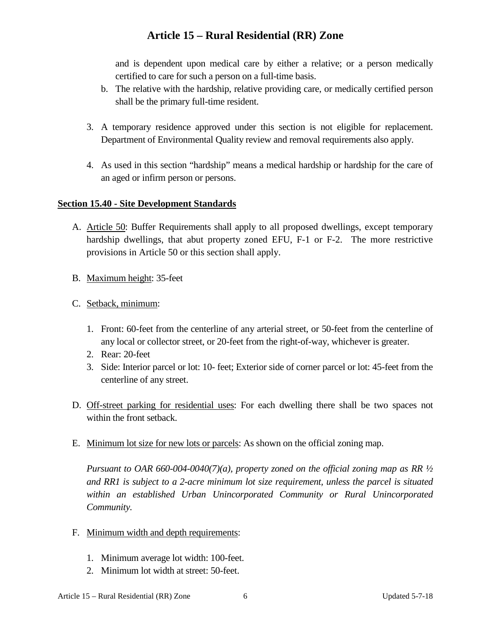and is dependent upon medical care by either a relative; or a person medically certified to care for such a person on a full-time basis.

- b. The relative with the hardship, relative providing care, or medically certified person shall be the primary full-time resident.
- 3. A temporary residence approved under this section is not eligible for replacement. Department of Environmental Quality review and removal requirements also apply.
- 4. As used in this section "hardship" means a medical hardship or hardship for the care of an aged or infirm person or persons.

#### **Section 15.40 - Site Development Standards**

- A. Article 50: Buffer Requirements shall apply to all proposed dwellings, except temporary hardship dwellings, that abut property zoned EFU, F-1 or F-2. The more restrictive provisions in Article 50 or this section shall apply.
- B. Maximum height: 35-feet
- C. Setback, minimum:
	- 1. Front: 60-feet from the centerline of any arterial street, or 50-feet from the centerline of any local or collector street, or 20-feet from the right-of-way, whichever is greater.
	- 2. Rear: 20-feet
	- 3. Side: Interior parcel or lot: 10- feet; Exterior side of corner parcel or lot: 45-feet from the centerline of any street.
- D. Off-street parking for residential uses: For each dwelling there shall be two spaces not within the front setback.
- E. Minimum lot size for new lots or parcels: As shown on the official zoning map.

*Pursuant to OAR 660-004-0040(7)(a), property zoned on the official zoning map as RR ½ and RR1 is subject to a 2-acre minimum lot size requirement, unless the parcel is situated within an established Urban Unincorporated Community or Rural Unincorporated Community.*

- F. Minimum width and depth requirements:
	- 1. Minimum average lot width: 100-feet.
	- 2. Minimum lot width at street: 50-feet.